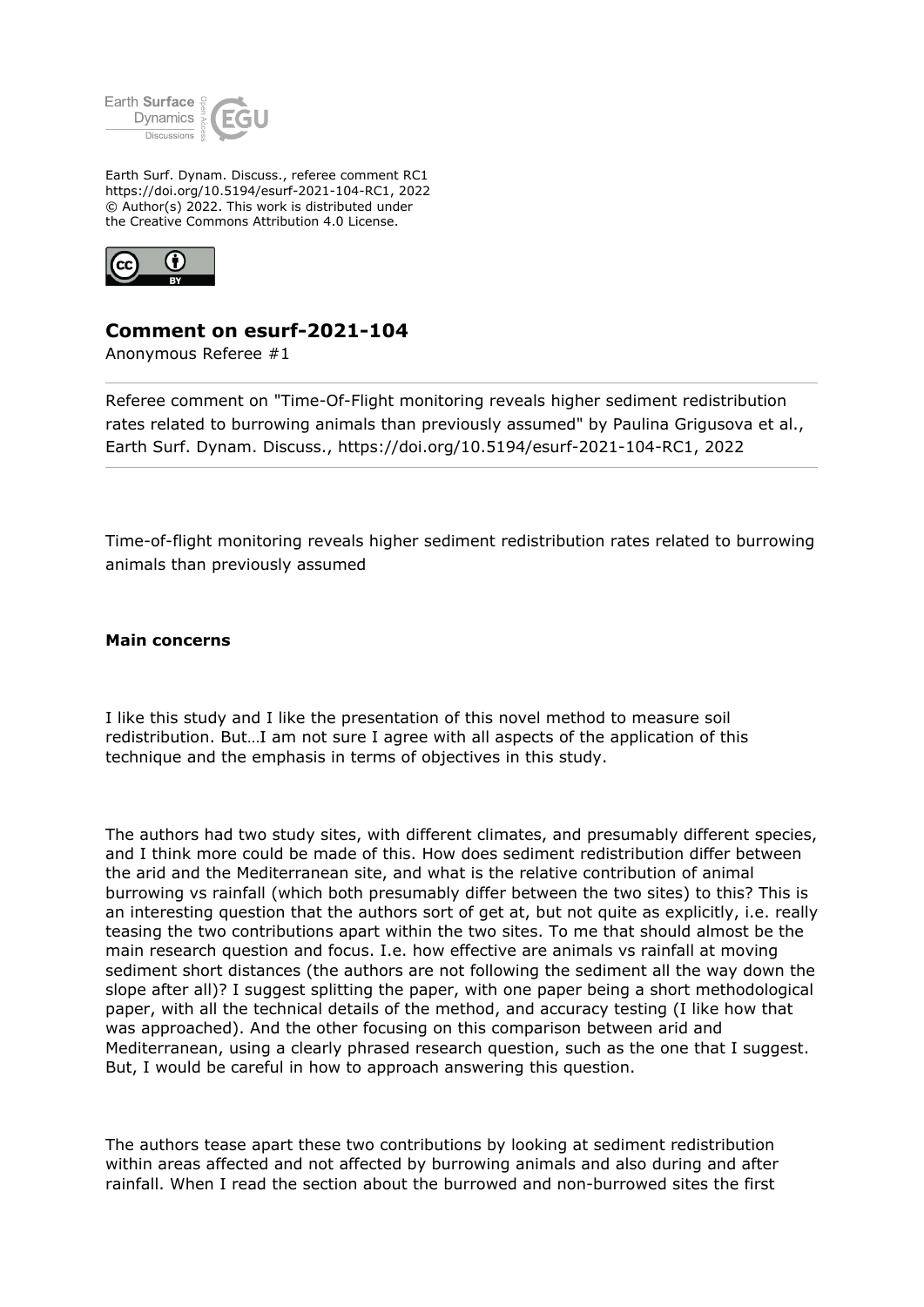

Earth Surf. Dynam. Discuss., referee comment RC1 https://doi.org/10.5194/esurf-2021-104-RC1, 2022 © Author(s) 2022. This work is distributed under the Creative Commons Attribution 4.0 License.



## **Comment on esurf-2021-104**

Anonymous Referee #1

Referee comment on "Time-Of-Flight monitoring reveals higher sediment redistribution rates related to burrowing animals than previously assumed" by Paulina Grigusova et al., Earth Surf. Dynam. Discuss., https://doi.org/10.5194/esurf-2021-104-RC1, 2022

Time-of-flight monitoring reveals higher sediment redistribution rates related to burrowing animals than previously assumed

**Main concerns**

I like this study and I like the presentation of this novel method to measure soil redistribution. But…I am not sure I agree with all aspects of the application of this technique and the emphasis in terms of objectives in this study.

The authors had two study sites, with different climates, and presumably different species, and I think more could be made of this. How does sediment redistribution differ between the arid and the Mediterranean site, and what is the relative contribution of animal burrowing vs rainfall (which both presumably differ between the two sites) to this? This is an interesting question that the authors sort of get at, but not quite as explicitly, i.e. really teasing the two contributions apart within the two sites. To me that should almost be the main research question and focus. I.e. how effective are animals vs rainfall at moving sediment short distances (the authors are not following the sediment all the way down the slope after all)? I suggest splitting the paper, with one paper being a short methodological paper, with all the technical details of the method, and accuracy testing (I like how that was approached). And the other focusing on this comparison between arid and Mediterranean, using a clearly phrased research question, such as the one that I suggest. But, I would be careful in how to approach answering this question.

The authors tease apart these two contributions by looking at sediment redistribution within areas affected and not affected by burrowing animals and also during and after rainfall. When I read the section about the burrowed and non-burrowed sites the first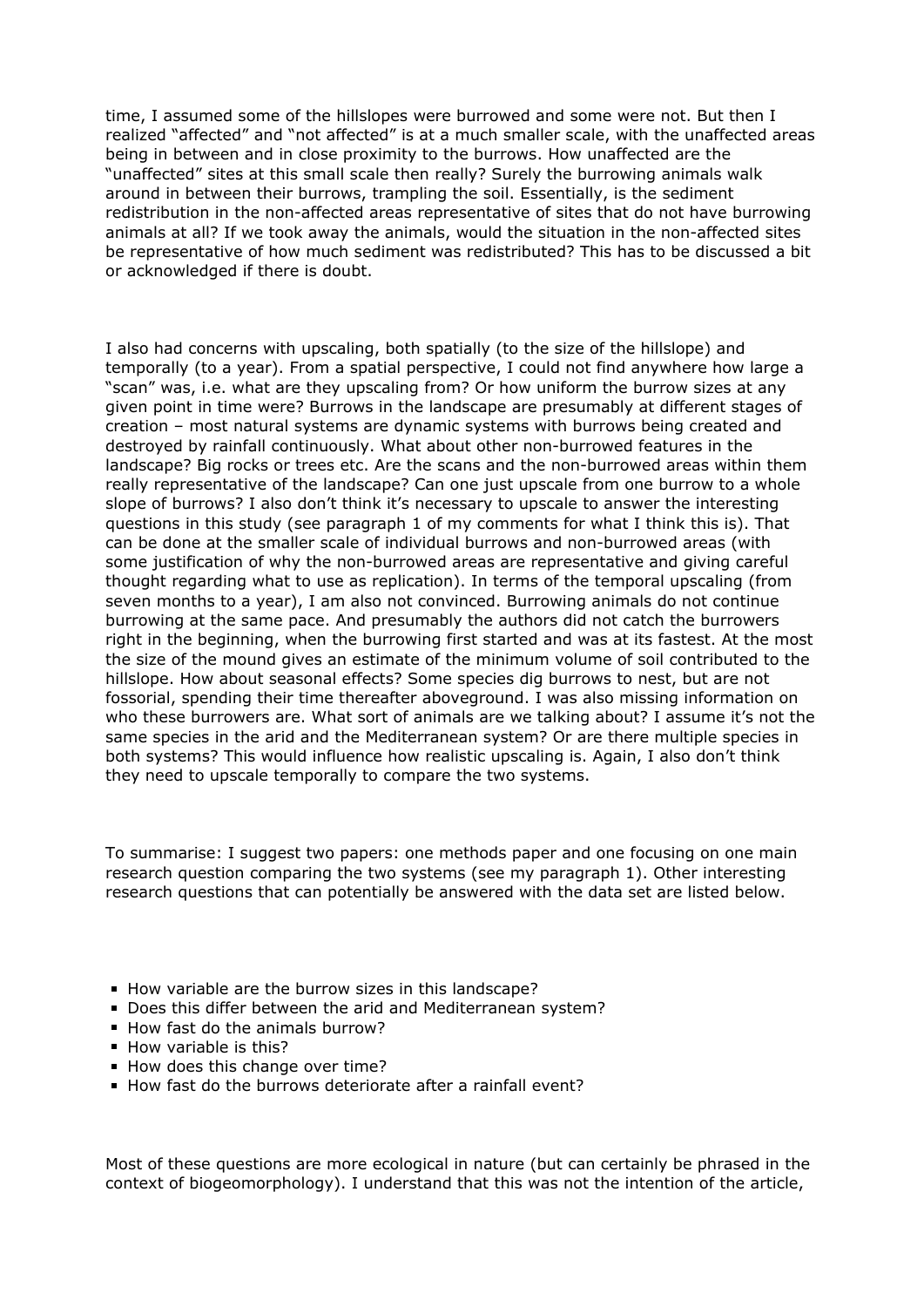time, I assumed some of the hillslopes were burrowed and some were not. But then I realized "affected" and "not affected" is at a much smaller scale, with the unaffected areas being in between and in close proximity to the burrows. How unaffected are the "unaffected" sites at this small scale then really? Surely the burrowing animals walk around in between their burrows, trampling the soil. Essentially, is the sediment redistribution in the non-affected areas representative of sites that do not have burrowing animals at all? If we took away the animals, would the situation in the non-affected sites be representative of how much sediment was redistributed? This has to be discussed a bit or acknowledged if there is doubt.

I also had concerns with upscaling, both spatially (to the size of the hillslope) and temporally (to a year). From a spatial perspective, I could not find anywhere how large a "scan" was, i.e. what are they upscaling from? Or how uniform the burrow sizes at any given point in time were? Burrows in the landscape are presumably at different stages of creation – most natural systems are dynamic systems with burrows being created and destroyed by rainfall continuously. What about other non-burrowed features in the landscape? Big rocks or trees etc. Are the scans and the non-burrowed areas within them really representative of the landscape? Can one just upscale from one burrow to a whole slope of burrows? I also don't think it's necessary to upscale to answer the interesting questions in this study (see paragraph 1 of my comments for what I think this is). That can be done at the smaller scale of individual burrows and non-burrowed areas (with some justification of why the non-burrowed areas are representative and giving careful thought regarding what to use as replication). In terms of the temporal upscaling (from seven months to a year), I am also not convinced. Burrowing animals do not continue burrowing at the same pace. And presumably the authors did not catch the burrowers right in the beginning, when the burrowing first started and was at its fastest. At the most the size of the mound gives an estimate of the minimum volume of soil contributed to the hillslope. How about seasonal effects? Some species dig burrows to nest, but are not fossorial, spending their time thereafter aboveground. I was also missing information on who these burrowers are. What sort of animals are we talking about? I assume it's not the same species in the arid and the Mediterranean system? Or are there multiple species in both systems? This would influence how realistic upscaling is. Again, I also don't think they need to upscale temporally to compare the two systems.

To summarise: I suggest two papers: one methods paper and one focusing on one main research question comparing the two systems (see my paragraph 1). Other interesting research questions that can potentially be answered with the data set are listed below.

- How variable are the burrow sizes in this landscape?
- Does this differ between the arid and Mediterranean system?
- How fast do the animals burrow?
- $\blacksquare$  How variable is this?
- How does this change over time?
- How fast do the burrows deteriorate after a rainfall event?

Most of these questions are more ecological in nature (but can certainly be phrased in the context of biogeomorphology). I understand that this was not the intention of the article,